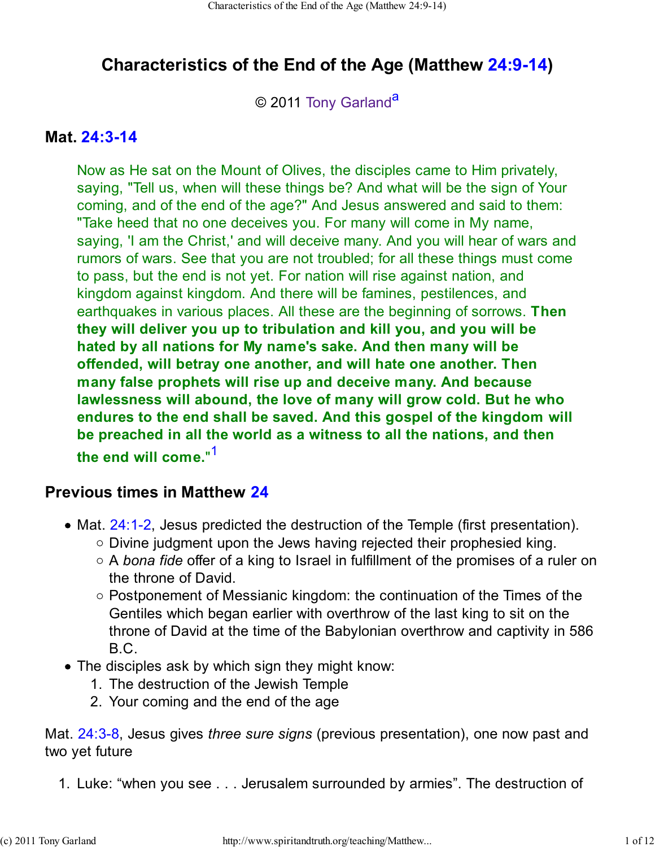# **Characteristics of the End of the Age (Matthew 24:9-14)**

© 2011 Tony Garland<sup>a</sup>

### **Mat. 24:3-14**

Now as He sat on the Mount of Olives, the disciples came to Him privately, saying, "Tell us, when will these things be? And what will be the sign of Your coming, and of the end of the age?" And Jesus answered and said to them: "Take heed that no one deceives you. For many will come in My name, saying, 'I am the Christ,' and will deceive many. And you will hear of wars and rumors of wars. See that you are not troubled; for all these things must come to pass, but the end is not yet. For nation will rise against nation, and kingdom against kingdom. And there will be famines, pestilences, and earthquakes in various places. All these are the beginning of sorrows. **Then they will deliver you up to tribulation and kill you, and you will be hated by all nations for My name's sake. And then many will be offended, will betray one another, and will hate one another. Then many false prophets will rise up and deceive many. And because lawlessness will abound, the love of many will grow cold. But he who endures to the end shall be saved. And this gospel of the kingdom will be preached in all the world as a witness to all the nations, and then the end will come.**" 1

### **Previous times in Matthew 24**

- Mat. 24:1-2, Jesus predicted the destruction of the Temple (first presentation).
	- $\circ$  Divine judgment upon the Jews having rejected their prophesied king.
	- A *bona fide* offer of a king to Israel in fulfillment of the promises of a ruler on the throne of David.
	- $\circ$  Postponement of Messianic kingdom: the continuation of the Times of the Gentiles which began earlier with overthrow of the last king to sit on the throne of David at the time of the Babylonian overthrow and captivity in 586 B.C.
- The disciples ask by which sign they might know:
	- 1. The destruction of the Jewish Temple
	- 2. Your coming and the end of the age

Mat. 24:3-8, Jesus gives *three sure signs* (previous presentation), one now past and two yet future

1. Luke: "when you see . . . Jerusalem surrounded by armies". The destruction of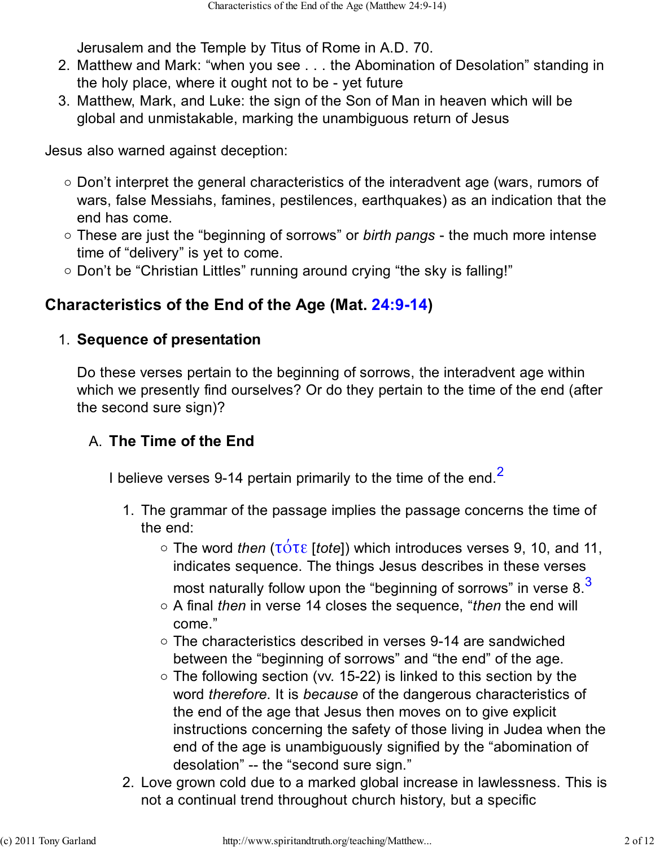Jerusalem and the Temple by Titus of Rome in A.D. 70.

- Matthew and Mark: "when you see . . . the Abomination of Desolation" standing in 2. the holy place, where it ought not to be - yet future
- Matthew, Mark, and Luke: the sign of the Son of Man in heaven which will be 3. global and unmistakable, marking the unambiguous return of Jesus

Jesus also warned against deception:

- Don't interpret the general characteristics of the interadvent age (wars, rumors of wars, false Messiahs, famines, pestilences, earthquakes) as an indication that the end has come.
- These are just the "beginning of sorrows" or *birth pangs* the much more intense time of "delivery" is yet to come.
- o Don't be "Christian Littles" running around crying "the sky is falling!"

# **Characteristics of the End of the Age (Mat. 24:9-14)**

## **Sequence of presentation** 1.

Do these verses pertain to the beginning of sorrows, the interadvent age within which we presently find ourselves? Or do they pertain to the time of the end (after the second sure sign)?

# **The Time of the End** A.

I believe verses 9-14 pertain primarily to the time of the end.<sup>2</sup>

- 1. The grammar of the passage implies the passage concerns the time of the end:
	- The word *then* (τότε [*tote*]) which introduces verses 9, 10, and 11, indicates sequence. The things Jesus describes in these verses
		- most naturally follow upon the "beginning of sorrows" in verse 8.<sup>3</sup>
	- A final *then* in verse 14 closes the sequence, "*then* the end will come."
	- The characteristics described in verses 9-14 are sandwiched between the "beginning of sorrows" and "the end" of the age.
	- $\circ$  The following section (vv. 15-22) is linked to this section by the word *therefore*. It is *because* of the dangerous characteristics of the end of the age that Jesus then moves on to give explicit instructions concerning the safety of those living in Judea when the end of the age is unambiguously signified by the "abomination of desolation" -- the "second sure sign."
- 2. Love grown cold due to a marked global increase in lawlessness. This is not a continual trend throughout church history, but a specific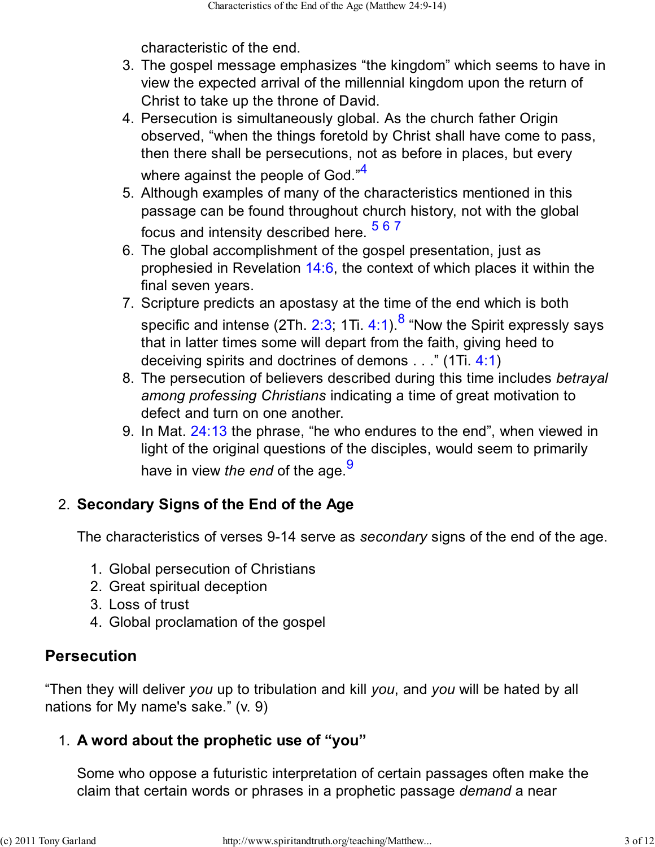characteristic of the end.

- The gospel message emphasizes "the kingdom" which seems to have in 3. view the expected arrival of the millennial kingdom upon the return of Christ to take up the throne of David.
- 4. Persecution is simultaneously global. As the church father Origin observed, "when the things foretold by Christ shall have come to pass, then there shall be persecutions, not as before in places, but every where against the people of God."<sup>4</sup>
- Although examples of many of the characteristics mentioned in this 5. passage can be found throughout church history, not with the global focus and intensity described here. <sup>567</sup>
- The global accomplishment of the gospel presentation, just as 6. prophesied in Revelation 14:6, the context of which places it within the final seven years.
- 7. Scripture predicts an apostasy at the time of the end which is both specific and intense (2Th. 2:3; 1Ti. 4:1). $^8$  "Now the Spirit expressly says that in latter times some will depart from the faith, giving heed to deceiving spirits and doctrines of demons . . ." (1Ti. 4:1)
- The persecution of believers described during this time includes *betrayal* 8. *among professing Christians* indicating a time of great motivation to defect and turn on one another.
- 9. In Mat. 24:13 the phrase, "he who endures to the end", when viewed in light of the original questions of the disciples, would seem to primarily have in view *the end* of the age.<sup>9</sup>

# **Secondary Signs of the End of the Age** 2.

The characteristics of verses 9-14 serve as *secondary* signs of the end of the age.

- 1. Global persecution of Christians
- 2. Great spiritual deception
- 3. Loss of trust
- 4. Global proclamation of the gospel

# **Persecution**

"Then they will deliver *you* up to tribulation and kill *you*, and *you* will be hated by all nations for My name's sake." (v. 9)

# **A word about the prophetic use of "you"** 1.

Some who oppose a futuristic interpretation of certain passages often make the claim that certain words or phrases in a prophetic passage *demand* a near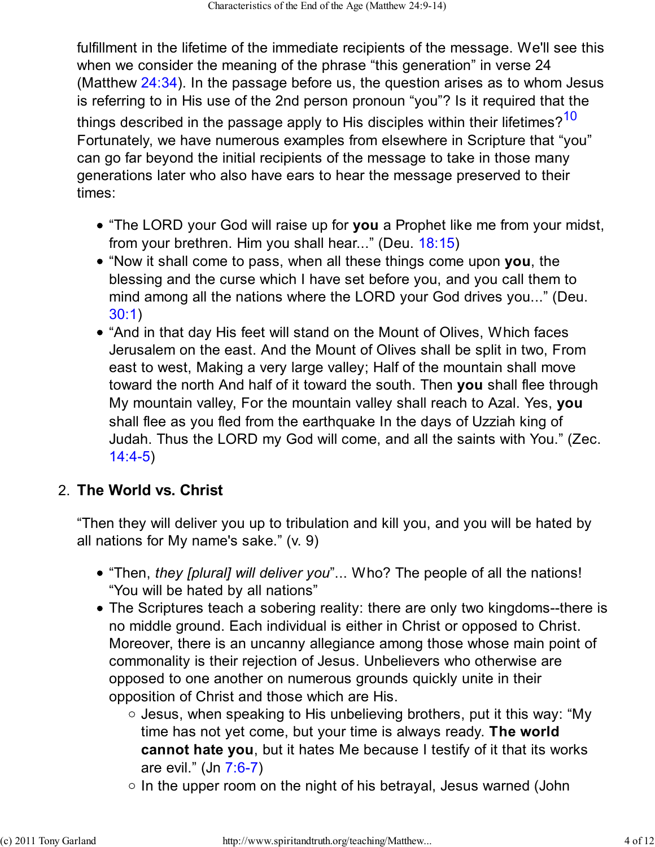fulfillment in the lifetime of the immediate recipients of the message. We'll see this when we consider the meaning of the phrase "this generation" in verse 24 (Matthew 24:34). In the passage before us, the question arises as to whom Jesus is referring to in His use of the 2nd person pronoun "you"? Is it required that the things described in the passage apply to His disciples within their lifetimes? $10$ Fortunately, we have numerous examples from elsewhere in Scripture that "you" can go far beyond the initial recipients of the message to take in those many generations later who also have ears to hear the message preserved to their times:

- "The LORD your God will raise up for **you** a Prophet like me from your midst, from your brethren. Him you shall hear..." (Deu. 18:15)
- "Now it shall come to pass, when all these things come upon **you**, the blessing and the curse which I have set before you, and you call them to mind among all the nations where the LORD your God drives you..." (Deu. 30:1)
- "And in that day His feet will stand on the Mount of Olives, Which faces Jerusalem on the east. And the Mount of Olives shall be split in two, From east to west, Making a very large valley; Half of the mountain shall move toward the north And half of it toward the south. Then **you** shall flee through My mountain valley, For the mountain valley shall reach to Azal. Yes, **you** shall flee as you fled from the earthquake In the days of Uzziah king of Judah. Thus the LORD my God will come, and all the saints with You." (Zec. 14:4-5)

# **The World vs. Christ** 2.

"Then they will deliver you up to tribulation and kill you, and you will be hated by all nations for My name's sake." (v. 9)

- "Then, *they [plural] will deliver you*"... Who? The people of all the nations! "You will be hated by all nations"
- The Scriptures teach a sobering reality: there are only two kingdoms--there is no middle ground. Each individual is either in Christ or opposed to Christ. Moreover, there is an uncanny allegiance among those whose main point of commonality is their rejection of Jesus. Unbelievers who otherwise are opposed to one another on numerous grounds quickly unite in their opposition of Christ and those which are His.
	- $\circ$  Jesus, when speaking to His unbelieving brothers, put it this way: "My time has not yet come, but your time is always ready. **The world cannot hate you**, but it hates Me because I testify of it that its works are evil." (Jn 7:6-7)
	- $\circ$  In the upper room on the night of his betrayal, Jesus warned (John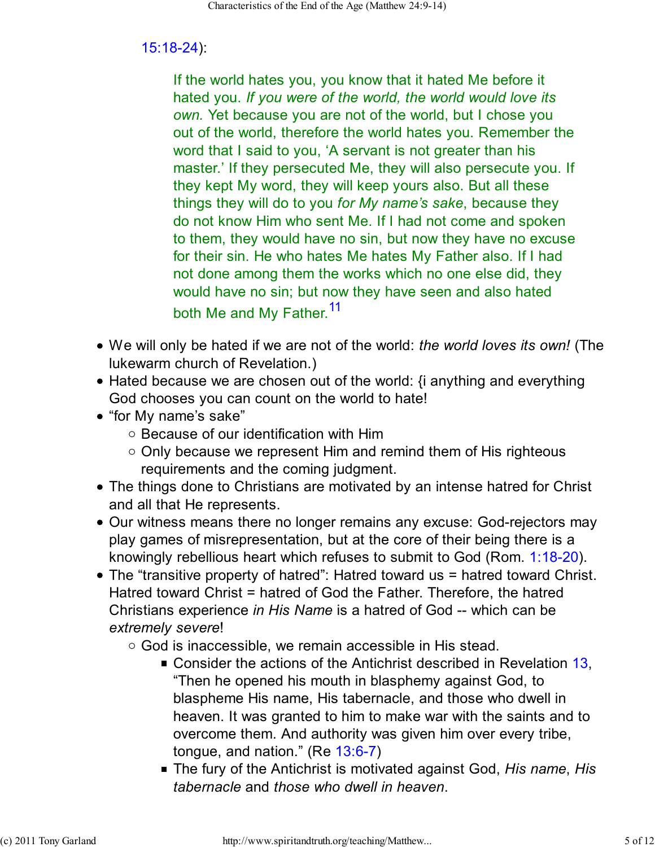### 15:18-24):

If the world hates you, you know that it hated Me before it hated you. *If you were of the world, the world would love its own.* Yet because you are not of the world, but I chose you out of the world, therefore the world hates you. Remember the word that I said to you, 'A servant is not greater than his master.' If they persecuted Me, they will also persecute you. If they kept My word, they will keep yours also. But all these things they will do to you *for My name's sake*, because they do not know Him who sent Me. If I had not come and spoken to them, they would have no sin, but now they have no excuse for their sin. He who hates Me hates My Father also. If I had not done among them the works which no one else did, they would have no sin; but now they have seen and also hated both Me and My Father.<sup>11</sup>

- We will only be hated if we are not of the world: *the world loves its own!* (The lukewarm church of Revelation.)
- $\bullet$  Hated because we are chosen out of the world:  $\{i\}$  anything and everything God chooses you can count on the world to hate!
- "for My name's sake"
	- $\circ$  Because of our identification with Him
	- $\circ$  Only because we represent Him and remind them of His righteous requirements and the coming judgment.
- The things done to Christians are motivated by an intense hatred for Christ and all that He represents.
- Our witness means there no longer remains any excuse: God-rejectors may play games of misrepresentation, but at the core of their being there is a knowingly rebellious heart which refuses to submit to God (Rom. 1:18-20).
- The "transitive property of hatred": Hatred toward us = hatred toward Christ. Hatred toward Christ = hatred of God the Father. Therefore, the hatred Christians experience *in His Name* is a hatred of God -- which can be *extremely severe*!
	- $\circ$  God is inaccessible, we remain accessible in His stead.
		- Consider the actions of the Antichrist described in Revelation 13, "Then he opened his mouth in blasphemy against God, to blaspheme His name, His tabernacle, and those who dwell in heaven. It was granted to him to make war with the saints and to overcome them. And authority was given him over every tribe, tongue, and nation." (Re 13:6-7)
		- The fury of the Antichrist is motivated against God, *His name*, *His tabernacle* and *those who dwell in heaven*.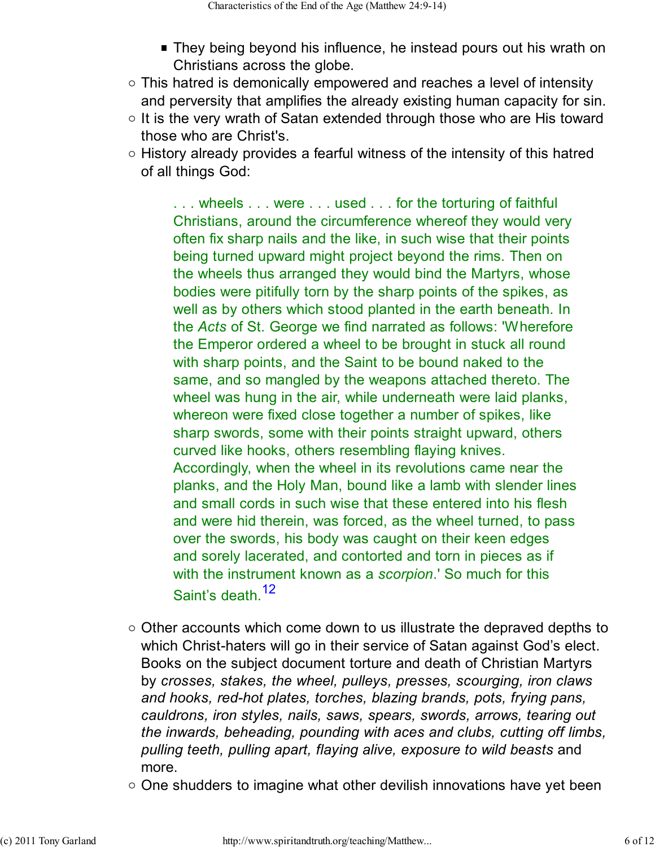- They being beyond his influence, he instead pours out his wrath on Christians across the globe.
- $\circ$  This hatred is demonically empowered and reaches a level of intensity and perversity that amplifies the already existing human capacity for sin.
- $\circ$  It is the very wrath of Satan extended through those who are His toward those who are Christ's.
- $\circ$  History already provides a fearful witness of the intensity of this hatred of all things God:

... wheels ... were ... used ... for the torturing of faithful Christians, around the circumference whereof they would very often fix sharp nails and the like, in such wise that their points being turned upward might project beyond the rims. Then on the wheels thus arranged they would bind the Martyrs, whose bodies were pitifully torn by the sharp points of the spikes, as well as by others which stood planted in the earth beneath. In the *Acts* of St. George we find narrated as follows: 'Wherefore the Emperor ordered a wheel to be brought in stuck all round with sharp points, and the Saint to be bound naked to the same, and so mangled by the weapons attached thereto. The wheel was hung in the air, while underneath were laid planks, whereon were fixed close together a number of spikes, like sharp swords, some with their points straight upward, others curved like hooks, others resembling flaying knives. Accordingly, when the wheel in its revolutions came near the planks, and the Holy Man, bound like a lamb with slender lines and small cords in such wise that these entered into his flesh and were hid therein, was forced, as the wheel turned, to pass over the swords, his body was caught on their keen edges and sorely lacerated, and contorted and torn in pieces as if with the instrument known as a *scorpion*.' So much for this Saint's death.<sup>12</sup>

- $\circ$  Other accounts which come down to us illustrate the depraved depths to which Christ-haters will go in their service of Satan against God's elect. Books on the subject document torture and death of Christian Martyrs by *crosses, stakes, the wheel, pulleys, presses, scourging, iron claws and hooks, red-hot plates, torches, blazing brands, pots, frying pans, cauldrons, iron styles, nails, saws, spears, swords, arrows, tearing out the inwards, beheading, pounding with aces and clubs, cutting off limbs, pulling teeth, pulling apart, flaying alive, exposure to wild beasts* and more.
- $\circ$  One shudders to imagine what other devilish innovations have yet been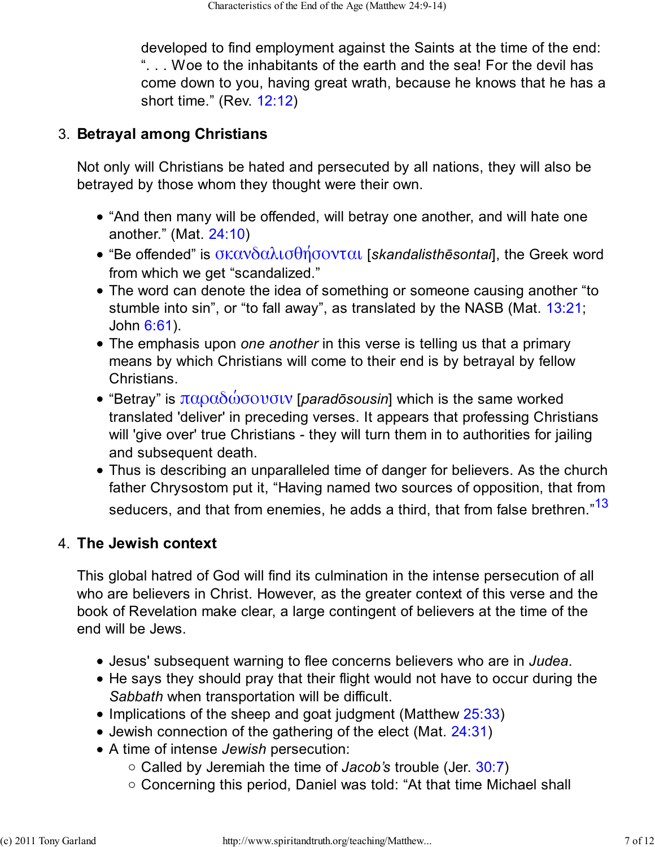developed to find employment against the Saints at the time of the end: ". . . Woe to the inhabitants of the earth and the sea! For the devil has come down to you, having great wrath, because he knows that he has a short time." (Rev. 12:12)

### **Betrayal among Christians** 3.

Not only will Christians be hated and persecuted by all nations, they will also be betrayed by those whom they thought were their own.

- "And then many will be offended, will betray one another, and will hate one another." (Mat. 24:10)
- "Be offended" is σκανδαλισθήσονται [*skandalisthēsontai*], the Greek word from which we get "scandalized."
- The word can denote the idea of something or someone causing another "to stumble into sin", or "to fall away", as translated by the NASB (Mat. 13:21; John 6:61).
- The emphasis upon *one another* in this verse is telling us that a primary means by which Christians will come to their end is by betrayal by fellow Christians.
- "Betray" is  $\pi\alpha\alpha\delta\omega\sigma\alpha\sigma\alpha\sigma\gamma$  [*paradosousin*] which is the same worked translated 'deliver' in preceding verses. It appears that professing Christians will 'give over' true Christians - they will turn them in to authorities for jailing and subsequent death.
- Thus is describing an unparalleled time of danger for believers. As the church father Chrysostom put it, "Having named two sources of opposition, that from seducers, and that from enemies, he adds a third, that from false brethren."<sup>13</sup>

### **The Jewish context** 4.

This global hatred of God will find its culmination in the intense persecution of all who are believers in Christ. However, as the greater context of this verse and the book of Revelation make clear, a large contingent of believers at the time of the end will be Jews.

- Jesus' subsequent warning to flee concerns believers who are in *Judea*.
- He says they should pray that their flight would not have to occur during the *Sabbath* when transportation will be difficult.
- $\bullet$  Implications of the sheep and goat judgment (Matthew  $25:33$ )
- Jewish connection of the gathering of the elect (Mat. 24:31)
- A time of intense *Jewish* persecution:
	- Called by Jeremiah the time of *Jacob's* trouble (Jer. 30:7)
	- Concerning this period, Daniel was told: "At that time Michael shall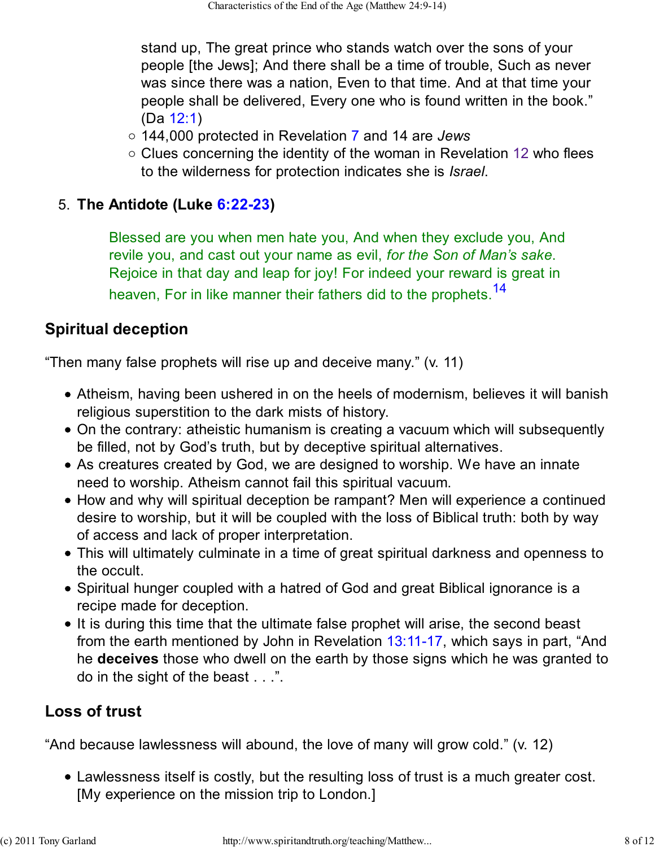stand up, The great prince who stands watch over the sons of your people [the Jews]; And there shall be a time of trouble, Such as never was since there was a nation, Even to that time. And at that time your people shall be delivered, Every one who is found written in the book." (Da 12:1)

- 144,000 protected in Revelation 7 and 14 are *Jews*
- $\circ$  Clues concerning the identity of the woman in Revelation 12 who flees to the wilderness for protection indicates she is *Israel*.

### **The Antidote (Luke 6:22-23)** 5.

Blessed are you when men hate you, And when they exclude you, And revile you, and cast out your name as evil, *for the Son of Man's sake*. Rejoice in that day and leap for joy! For indeed your reward is great in heaven, For in like manner their fathers did to the prophets.<sup>14</sup>

## **Spiritual deception**

"Then many false prophets will rise up and deceive many." (v. 11)

- Atheism, having been ushered in on the heels of modernism, believes it will banish religious superstition to the dark mists of history.
- On the contrary: atheistic humanism is creating a vacuum which will subsequently be filled, not by God's truth, but by deceptive spiritual alternatives.
- As creatures created by God, we are designed to worship. We have an innate need to worship. Atheism cannot fail this spiritual vacuum.
- How and why will spiritual deception be rampant? Men will experience a continued desire to worship, but it will be coupled with the loss of Biblical truth: both by way of access and lack of proper interpretation.
- This will ultimately culminate in a time of great spiritual darkness and openness to the occult.
- Spiritual hunger coupled with a hatred of God and great Biblical ignorance is a recipe made for deception.
- It is during this time that the ultimate false prophet will arise, the second beast from the earth mentioned by John in Revelation 13:11-17, which says in part, "And he **deceives** those who dwell on the earth by those signs which he was granted to do in the sight of the beast . . .".

# **Loss of trust**

"And because lawlessness will abound, the love of many will grow cold." (v. 12)

Lawlessness itself is costly, but the resulting loss of trust is a much greater cost. [My experience on the mission trip to London.]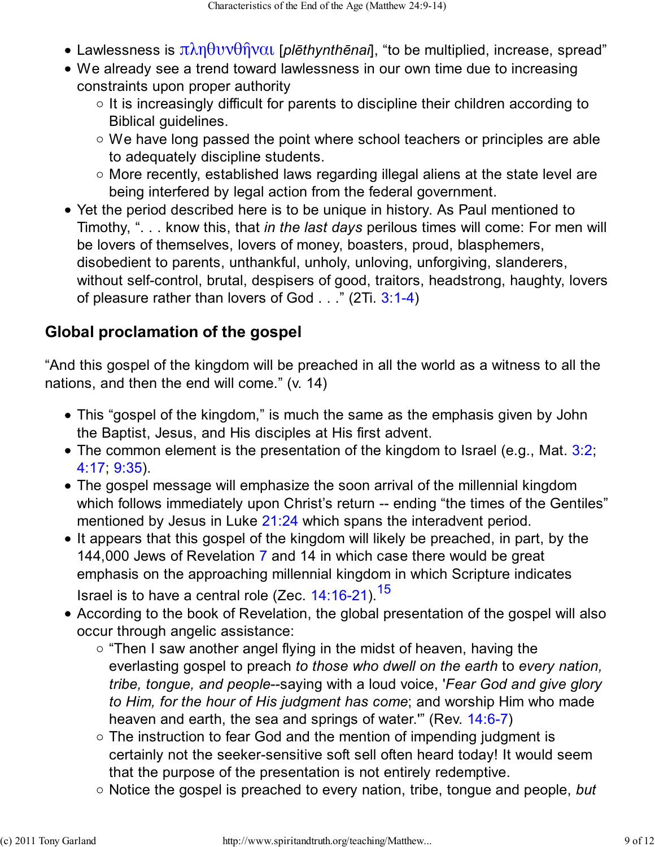- Lawlessness is πληθυνθῆναι [*plēthynthēnai*], "to be multiplied, increase, spread"
- We already see a trend toward lawlessness in our own time due to increasing constraints upon proper authority
	- $\circ$  It is increasingly difficult for parents to discipline their children according to Biblical guidelines.
	- We have long passed the point where school teachers or principles are able to adequately discipline students.
	- More recently, established laws regarding illegal aliens at the state level are being interfered by legal action from the federal government.
- Yet the period described here is to be unique in history. As Paul mentioned to Timothy, ". . . know this, that *in the last days* perilous times will come: For men will be lovers of themselves, lovers of money, boasters, proud, blasphemers, disobedient to parents, unthankful, unholy, unloving, unforgiving, slanderers, without self-control, brutal, despisers of good, traitors, headstrong, haughty, lovers of pleasure rather than lovers of God . . ." (2Ti. 3:1-4)

# **Global proclamation of the gospel**

"And this gospel of the kingdom will be preached in all the world as a witness to all the nations, and then the end will come." (v. 14)

- This "gospel of the kingdom," is much the same as the emphasis given by John the Baptist, Jesus, and His disciples at His first advent.
- $\bullet$  The common element is the presentation of the kingdom to Israel (e.g., Mat. 3:2; 4:17; 9:35).
- The gospel message will emphasize the soon arrival of the millennial kingdom which follows immediately upon Christ's return -- ending "the times of the Gentiles" mentioned by Jesus in Luke 21:24 which spans the interadvent period.
- It appears that this gospel of the kingdom will likely be preached, in part, by the 144,000 Jews of Revelation 7 and 14 in which case there would be great emphasis on the approaching millennial kingdom in which Scripture indicates

Israel is to have a central role (Zec.  $14:16-21$ ).<sup>15</sup>

- According to the book of Revelation, the global presentation of the gospel will also occur through angelic assistance:
	- $\circ$  "Then I saw another angel flying in the midst of heaven, having the everlasting gospel to preach *to those who dwell on the earth* to *every nation, tribe, tongue, and people*--saying with a loud voice, '*Fear God and give glory to Him, for the hour of His judgment has come*; and worship Him who made heaven and earth, the sea and springs of water.'" (Rev. 14:6-7)
	- The instruction to fear God and the mention of impending judgment is certainly not the seeker-sensitive soft sell often heard today! It would seem that the purpose of the presentation is not entirely redemptive.
	- Notice the gospel is preached to every nation, tribe, tongue and people, *but*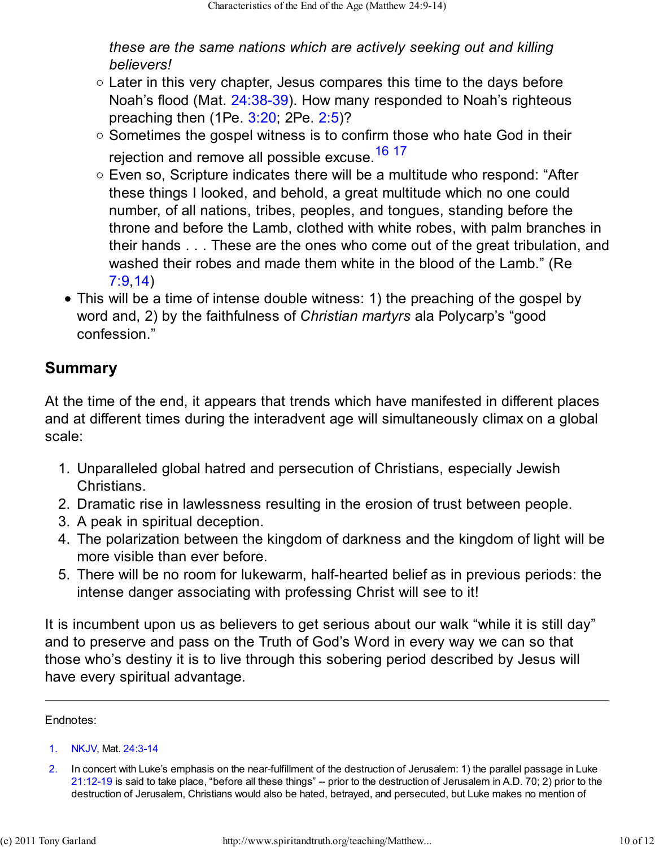*these are the same nations which are actively seeking out and killing believers!*

- $\circ$  Later in this very chapter, Jesus compares this time to the days before Noah's flood (Mat. 24:38-39). How many responded to Noah's righteous preaching then (1Pe. 3:20; 2Pe. 2:5)?
- $\circ$  Sometimes the gospel witness is to confirm those who hate God in their rejection and remove all possible excuse.<sup>16</sup> 17
- Even so, Scripture indicates there will be a multitude who respond: "After these things I looked, and behold, a great multitude which no one could number, of all nations, tribes, peoples, and tongues, standing before the throne and before the Lamb, clothed with white robes, with palm branches in their hands . . . These are the ones who come out of the great tribulation, and washed their robes and made them white in the blood of the Lamb." (Re 7:9,14)
- This will be a time of intense double witness: 1) the preaching of the gospel by word and, 2) by the faithfulness of *Christian martyrs* ala Polycarp's "good confession."

### **Summary**

At the time of the end, it appears that trends which have manifested in different places and at different times during the interadvent age will simultaneously climax on a global scale:

- 1. Unparalleled global hatred and persecution of Christians, especially Jewish Christians.
- 2. Dramatic rise in lawlessness resulting in the erosion of trust between people.
- 3. A peak in spiritual deception.
- The polarization between the kingdom of darkness and the kingdom of light will be 4. more visible than ever before.
- 5. There will be no room for lukewarm, half-hearted belief as in previous periods: the intense danger associating with professing Christ will see to it!

It is incumbent upon us as believers to get serious about our walk "while it is still day" and to preserve and pass on the Truth of God's Word in every way we can so that those who's destiny it is to live through this sobering period described by Jesus will have every spiritual advantage.

Endnotes:

<sup>1.</sup> NKJV, Mat. 24:3-14

<sup>2.</sup> In concert with Luke's emphasis on the near-fulfillment of the destruction of Jerusalem: 1) the parallel passage in Luke 21:12-19 is said to take place, "before all these things" -- prior to the destruction of Jerusalem in A.D. 70; 2) prior to the destruction of Jerusalem, Christians would also be hated, betrayed, and persecuted, but Luke makes no mention of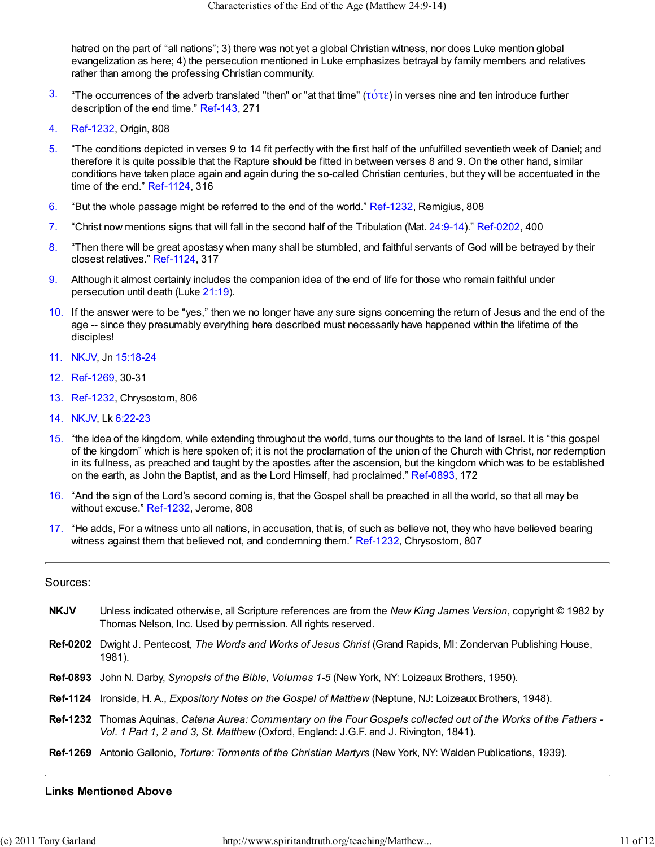hatred on the part of "all nations"; 3) there was not yet a global Christian witness, nor does Luke mention global evangelization as here; 4) the persecution mentioned in Luke emphasizes betrayal by family members and relatives rather than among the professing Christian community.

- 3. "The occurrences of the adverb translated "then" or "at that time" (τότε) in verses nine and ten introduce further description of the end time." Ref-143, 271
- 4. Ref-1232, Origin, 808
- 5. "The conditions depicted in verses 9 to 14 fit perfectly with the first half of the unfulfilled seventieth week of Daniel; and therefore it is quite possible that the Rapture should be fitted in between verses 8 and 9. On the other hand, similar conditions have taken place again and again during the so-called Christian centuries, but they will be accentuated in the time of the end." Ref-1124, 316
- 6. "But the whole passage might be referred to the end of the world." Ref-1232, Remigius, 808
- 7. "Christ now mentions signs that will fall in the second half of the Tribulation (Mat. 24:9-14)." Ref-0202, 400
- 8. "Then there will be great apostasy when many shall be stumbled, and faithful servants of God will be betrayed by their closest relatives." Ref-1124, 317
- 9. Although it almost certainly includes the companion idea of the end of life for those who remain faithful under persecution until death (Luke 21:19).
- 10. If the answer were to be "yes," then we no longer have any sure signs concerning the return of Jesus and the end of the age -- since they presumably everything here described must necessarily have happened within the lifetime of the disciples!
- 11. NKJV, Jn 15:18-24
- 12. Ref-1269, 30-31
- 13. Ref-1232, Chrysostom, 806
- 14. NKJV, Lk 6:22-23
- 15. "the idea of the kingdom, while extending throughout the world, turns our thoughts to the land of Israel. It is "this gospel of the kingdom" which is here spoken of; it is not the proclamation of the union of the Church with Christ, nor redemption in its fullness, as preached and taught by the apostles after the ascension, but the kingdom which was to be established on the earth, as John the Baptist, and as the Lord Himself, had proclaimed." Ref-0893, 172
- 16. "And the sign of the Lord's second coming is, that the Gospel shall be preached in all the world, so that all may be without excuse." Ref-1232, Jerome, 808
- 17. "He adds, For a witness unto all nations, in accusation, that is, of such as believe not, they who have believed bearing witness against them that believed not, and condemning them." Ref-1232, Chrysostom, 807

#### Sources:

- **NKJV** Unless indicated otherwise, all Scripture references are from the *New King James Version*, copyright © 1982 by Thomas Nelson, Inc. Used by permission. All rights reserved.
- **Ref-0202** Dwight J. Pentecost, *The Words and Works of Jesus Christ* (Grand Rapids, MI: Zondervan Publishing House, 1981).
- **Ref-0893** John N. Darby, *Synopsis of the Bible, Volumes 1-5* (New York, NY: Loizeaux Brothers, 1950).
- **Ref-1124** Ironside, H. A., *Expository Notes on the Gospel of Matthew* (Neptune, NJ: Loizeaux Brothers, 1948).
- **Ref-1232** Thomas Aquinas, *Catena Aurea: Commentary on the Four Gospels collected out of the Works of the Fathers - Vol. 1 Part 1, 2 and 3, St. Matthew* (Oxford, England: J.G.F. and J. Rivington, 1841).
- **Ref-1269** Antonio Gallonio, *Torture: Torments of the Christian Martyrs* (New York, NY: Walden Publications, 1939).

#### **Links Mentioned Above**